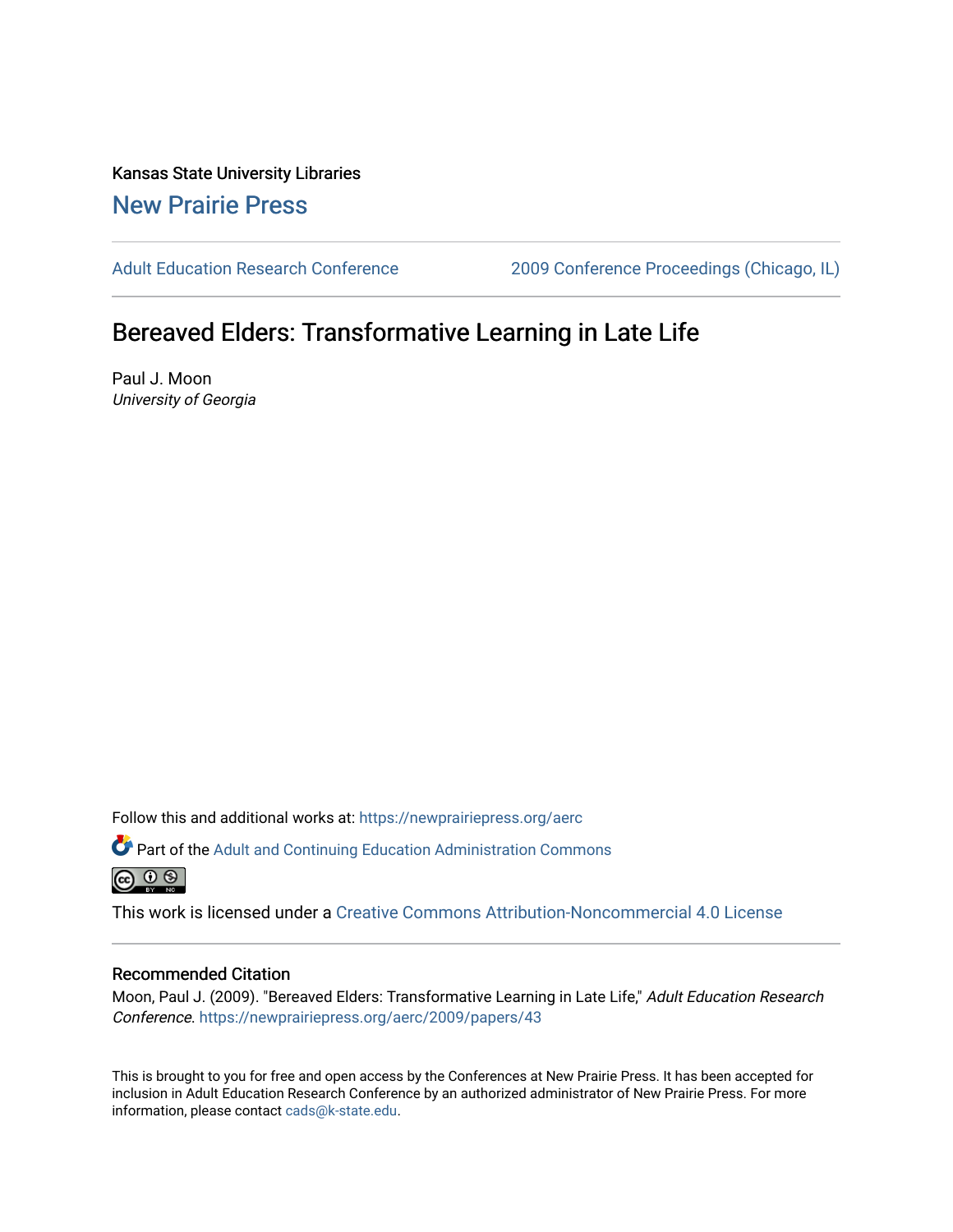Kansas State University Libraries [New Prairie Press](https://newprairiepress.org/) 

[Adult Education Research Conference](https://newprairiepress.org/aerc) [2009 Conference Proceedings \(Chicago, IL\)](https://newprairiepress.org/aerc/2009) 

# Bereaved Elders: Transformative Learning in Late Life

Paul J. Moon University of Georgia

Follow this and additional works at: [https://newprairiepress.org/aerc](https://newprairiepress.org/aerc?utm_source=newprairiepress.org%2Faerc%2F2009%2Fpapers%2F43&utm_medium=PDF&utm_campaign=PDFCoverPages)

Part of the [Adult and Continuing Education Administration Commons](http://network.bepress.com/hgg/discipline/789?utm_source=newprairiepress.org%2Faerc%2F2009%2Fpapers%2F43&utm_medium=PDF&utm_campaign=PDFCoverPages) <u>ெ ெ ⊜</u>

This work is licensed under a [Creative Commons Attribution-Noncommercial 4.0 License](https://creativecommons.org/licenses/by-nc/4.0/)

## Recommended Citation

Moon, Paul J. (2009). "Bereaved Elders: Transformative Learning in Late Life," Adult Education Research Conference.<https://newprairiepress.org/aerc/2009/papers/43>

This is brought to you for free and open access by the Conferences at New Prairie Press. It has been accepted for inclusion in Adult Education Research Conference by an authorized administrator of New Prairie Press. For more information, please contact [cads@k-state.edu](mailto:cads@k-state.edu).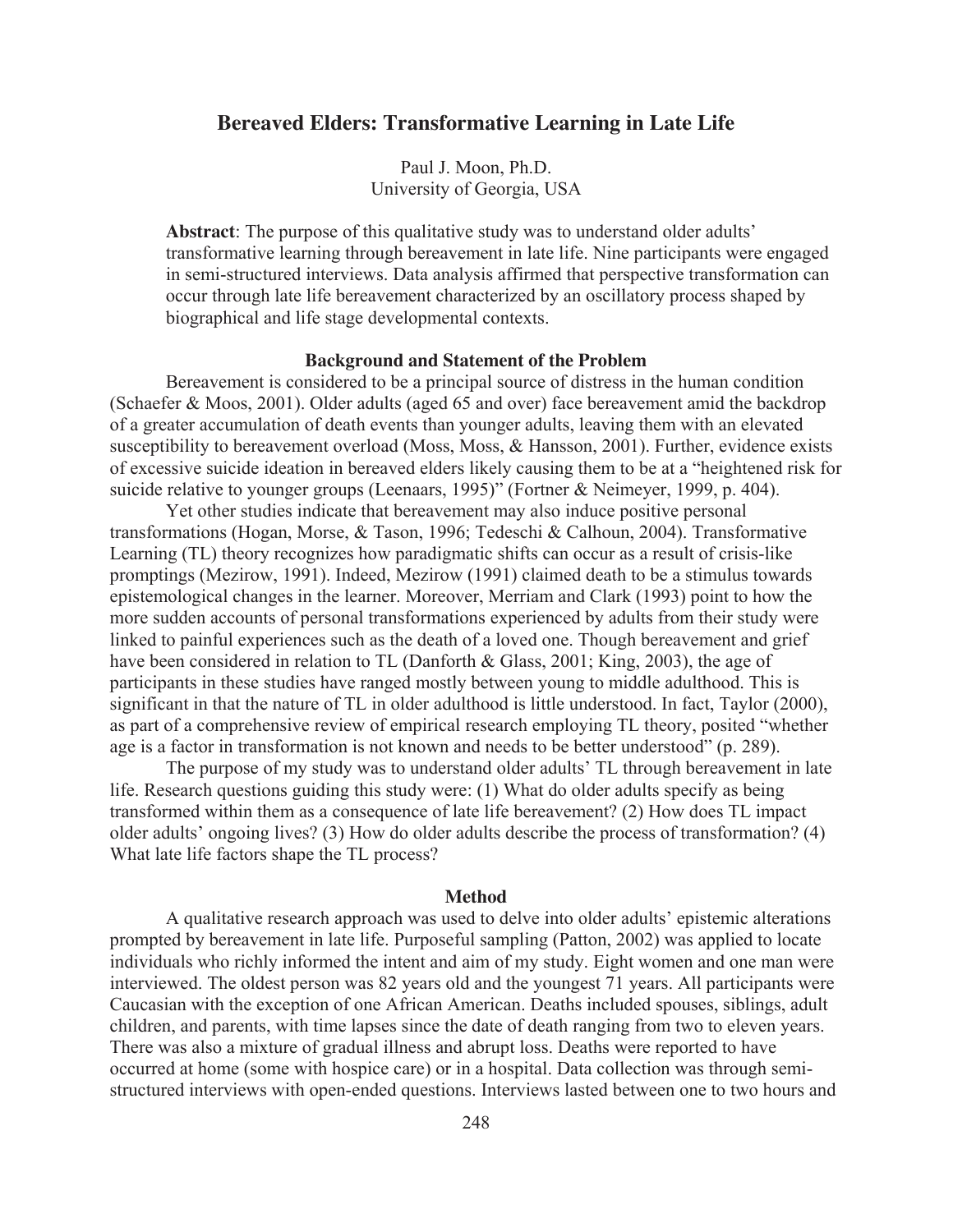## **Bereaved Elders: Transformative Learning in Late Life**

Paul J. Moon, Ph.D. University of Georgia, USA

**Abstract**: The purpose of this qualitative study was to understand older adults' transformative learning through bereavement in late life. Nine participants were engaged in semi-structured interviews. Data analysis affirmed that perspective transformation can occur through late life bereavement characterized by an oscillatory process shaped by biographical and life stage developmental contexts.

#### **Background and Statement of the Problem**

 Bereavement is considered to be a principal source of distress in the human condition (Schaefer & Moos, 2001). Older adults (aged 65 and over) face bereavement amid the backdrop of a greater accumulation of death events than younger adults, leaving them with an elevated susceptibility to bereavement overload (Moss, Moss, & Hansson, 2001). Further, evidence exists of excessive suicide ideation in bereaved elders likely causing them to be at a "heightened risk for suicide relative to younger groups (Leenaars, 1995)" (Fortner & Neimeyer, 1999, p. 404).

 Yet other studies indicate that bereavement may also induce positive personal transformations (Hogan, Morse, & Tason, 1996; Tedeschi & Calhoun, 2004). Transformative Learning (TL) theory recognizes how paradigmatic shifts can occur as a result of crisis-like promptings (Mezirow, 1991). Indeed, Mezirow (1991) claimed death to be a stimulus towards epistemological changes in the learner. Moreover, Merriam and Clark (1993) point to how the more sudden accounts of personal transformations experienced by adults from their study were linked to painful experiences such as the death of a loved one. Though bereavement and grief have been considered in relation to TL (Danforth & Glass, 2001; King, 2003), the age of participants in these studies have ranged mostly between young to middle adulthood. This is significant in that the nature of TL in older adulthood is little understood. In fact, Taylor (2000), as part of a comprehensive review of empirical research employing TL theory, posited "whether age is a factor in transformation is not known and needs to be better understood" (p. 289).

The purpose of my study was to understand older adults' TL through bereavement in late life. Research questions guiding this study were: (1) What do older adults specify as being transformed within them as a consequence of late life bereavement? (2) How does TL impact older adults' ongoing lives? (3) How do older adults describe the process of transformation? (4) What late life factors shape the TL process?

## **Method**

A qualitative research approach was used to delve into older adults' epistemic alterations prompted by bereavement in late life. Purposeful sampling (Patton, 2002) was applied to locate individuals who richly informed the intent and aim of my study. Eight women and one man were interviewed. The oldest person was 82 years old and the youngest 71 years. All participants were Caucasian with the exception of one African American. Deaths included spouses, siblings, adult children, and parents, with time lapses since the date of death ranging from two to eleven years. There was also a mixture of gradual illness and abrupt loss. Deaths were reported to have occurred at home (some with hospice care) or in a hospital. Data collection was through semistructured interviews with open-ended questions. Interviews lasted between one to two hours and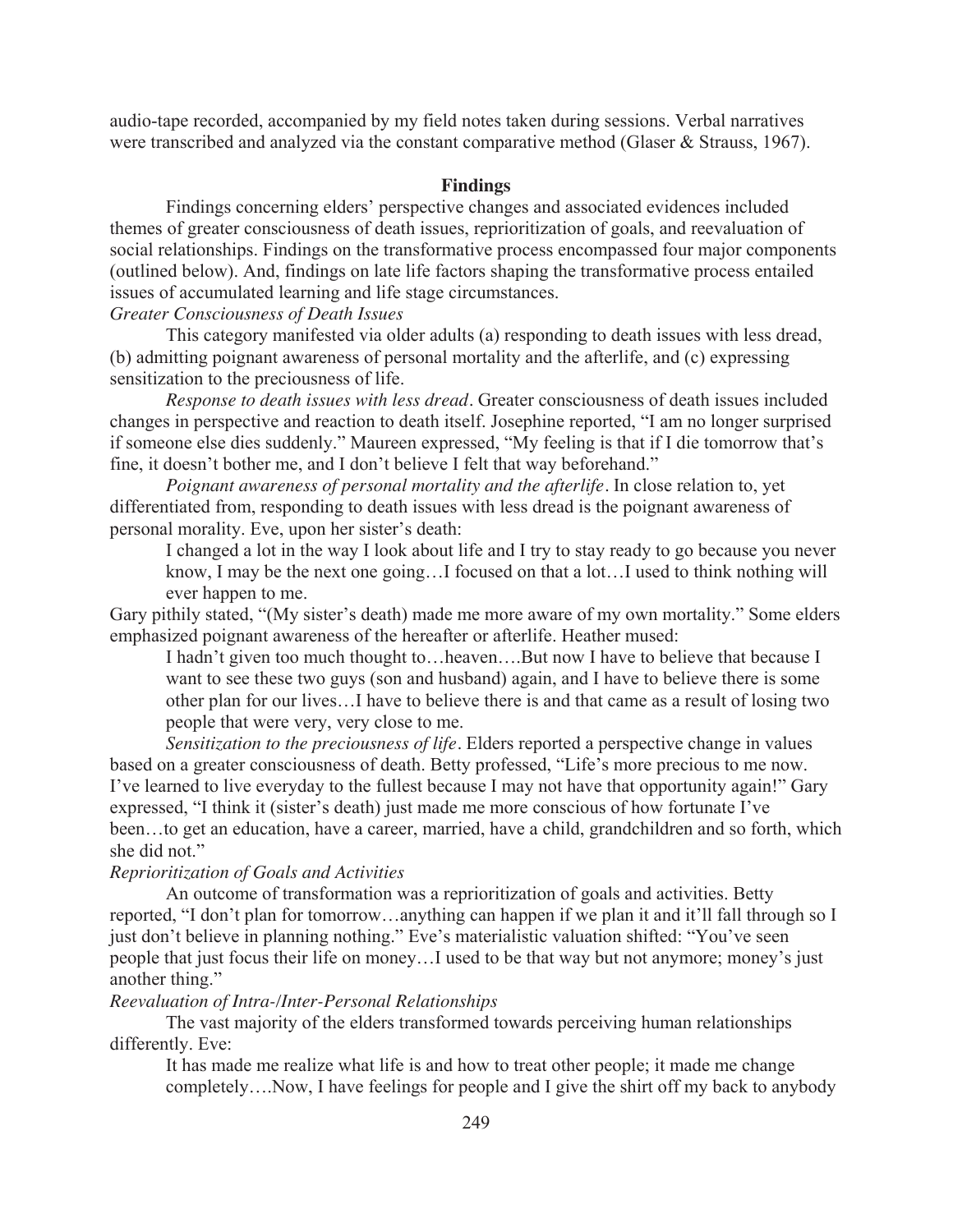audio-tape recorded, accompanied by my field notes taken during sessions. Verbal narratives were transcribed and analyzed via the constant comparative method (Glaser & Strauss, 1967).

#### **Findings**

Findings concerning elders' perspective changes and associated evidences included themes of greater consciousness of death issues, reprioritization of goals, and reevaluation of social relationships. Findings on the transformative process encompassed four major components (outlined below). And, findings on late life factors shaping the transformative process entailed issues of accumulated learning and life stage circumstances.

## *Greater Consciousness of Death Issues*

This category manifested via older adults (a) responding to death issues with less dread, (b) admitting poignant awareness of personal mortality and the afterlife, and (c) expressing sensitization to the preciousness of life.

*Response to death issues with less dread.* Greater consciousness of death issues included changes in perspective and reaction to death itself. Josephine reported, "I am no longer surprised if someone else dies suddenly." Maureen expressed, "My feeling is that if I die tomorrow that's fine, it doesn't bother me, and I don't believe I felt that way beforehand."

*Poignant awareness of personal mortality and the afterlife.* In close relation to, yet differentiated from, responding to death issues with less dread is the poignant awareness of personal morality. Eve, upon her sister's death:

I changed a lot in the way I look about life and I try to stay ready to go because you never know, I may be the next one going…I focused on that a lot…I used to think nothing will ever happen to me.

Gary pithily stated, "(My sister's death) made me more aware of my own mortality." Some elders emphasized poignant awareness of the hereafter or afterlife. Heather mused:

I hadn't given too much thought to…heaven….But now I have to believe that because I want to see these two guys (son and husband) again, and I have to believe there is some other plan for our lives…I have to believe there is and that came as a result of losing two people that were very, very close to me.

*Sensitization to the preciousness of life.* Elders reported a perspective change in values based on a greater consciousness of death. Betty professed, "Life's more precious to me now. I've learned to live everyday to the fullest because I may not have that opportunity again!" Gary expressed, "I think it (sister's death) just made me more conscious of how fortunate I've been…to get an education, have a career, married, have a child, grandchildren and so forth, which she did not."

## *Reprioritization of Goals and Activities*

 An outcome of transformation was a reprioritization of goals and activities. Betty reported, "I don't plan for tomorrow…anything can happen if we plan it and it'll fall through so I just don't believe in planning nothing." Eve's materialistic valuation shifted: "You've seen people that just focus their life on money…I used to be that way but not anymore; money's just another thing."

## *Reevaluation of Intra-/Inter-Personal Relationships*

 The vast majority of the elders transformed towards perceiving human relationships differently. Eve:

It has made me realize what life is and how to treat other people; it made me change completely….Now, I have feelings for people and I give the shirt off my back to anybody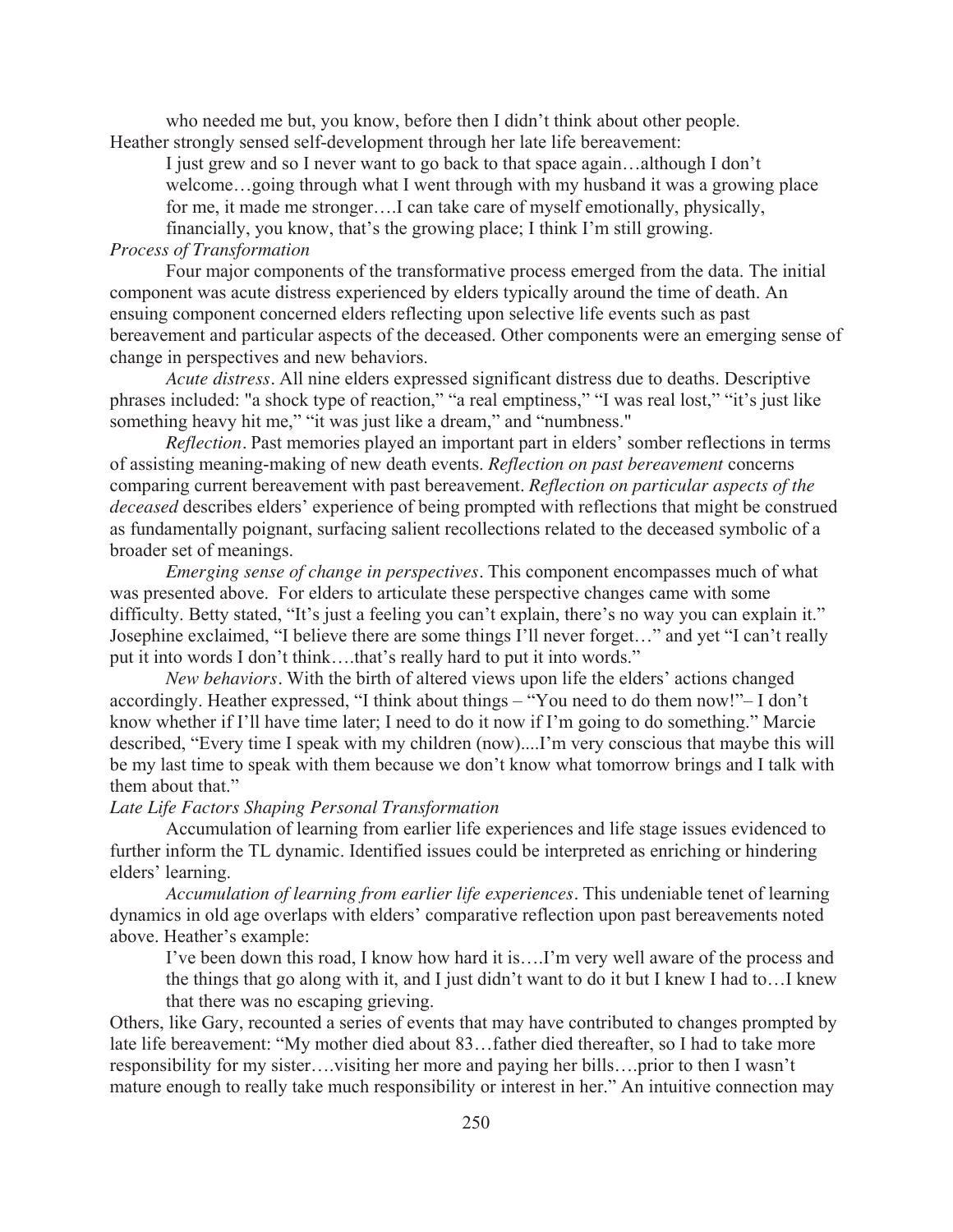who needed me but, you know, before then I didn't think about other people. Heather strongly sensed self-development through her late life bereavement:

I just grew and so I never want to go back to that space again…although I don't welcome…going through what I went through with my husband it was a growing place for me, it made me stronger….I can take care of myself emotionally, physically, financially, you know, that's the growing place; I think I'm still growing.

## *Process of Transformation*

Four major components of the transformative process emerged from the data. The initial component was acute distress experienced by elders typically around the time of death. An ensuing component concerned elders reflecting upon selective life events such as past bereavement and particular aspects of the deceased. Other components were an emerging sense of change in perspectives and new behaviors.

*Acute distress.* All nine elders expressed significant distress due to deaths. Descriptive phrases included: "a shock type of reaction," "a real emptiness," "I was real lost," "it's just like something heavy hit me," "it was just like a dream," and "numbness."

*Reflection.* Past memories played an important part in elders' somber reflections in terms of assisting meaning-making of new death events. *Reflection on past bereavement* concerns comparing current bereavement with past bereavement. *Reflection on particular aspects of the deceased* describes elders' experience of being prompted with reflections that might be construed as fundamentally poignant, surfacing salient recollections related to the deceased symbolic of a broader set of meanings.

*Emerging sense of change in perspectives.* This component encompasses much of what was presented above. For elders to articulate these perspective changes came with some difficulty. Betty stated, "It's just a feeling you can't explain, there's no way you can explain it." Josephine exclaimed, "I believe there are some things I'll never forget…" and yet "I can't really put it into words I don't think….that's really hard to put it into words."

*New behaviors.* With the birth of altered views upon life the elders' actions changed accordingly. Heather expressed, "I think about things – "You need to do them now!"– I don't know whether if I'll have time later; I need to do it now if I'm going to do something." Marcie described, "Every time I speak with my children (now)....I'm very conscious that maybe this will be my last time to speak with them because we don't know what tomorrow brings and I talk with them about that."

#### *Late Life Factors Shaping Personal Transformation*

Accumulation of learning from earlier life experiences and life stage issues evidenced to further inform the TL dynamic. Identified issues could be interpreted as enriching or hindering elders' learning.

 *Accumulation of learning from earlier life experiences.* This undeniable tenet of learning dynamics in old age overlaps with elders' comparative reflection upon past bereavements noted above. Heather's example:

I've been down this road, I know how hard it is….I'm very well aware of the process and the things that go along with it, and I just didn't want to do it but I knew I had to…I knew that there was no escaping grieving.

Others, like Gary, recounted a series of events that may have contributed to changes prompted by late life bereavement: "My mother died about 83…father died thereafter, so I had to take more responsibility for my sister….visiting her more and paying her bills….prior to then I wasn't mature enough to really take much responsibility or interest in her." An intuitive connection may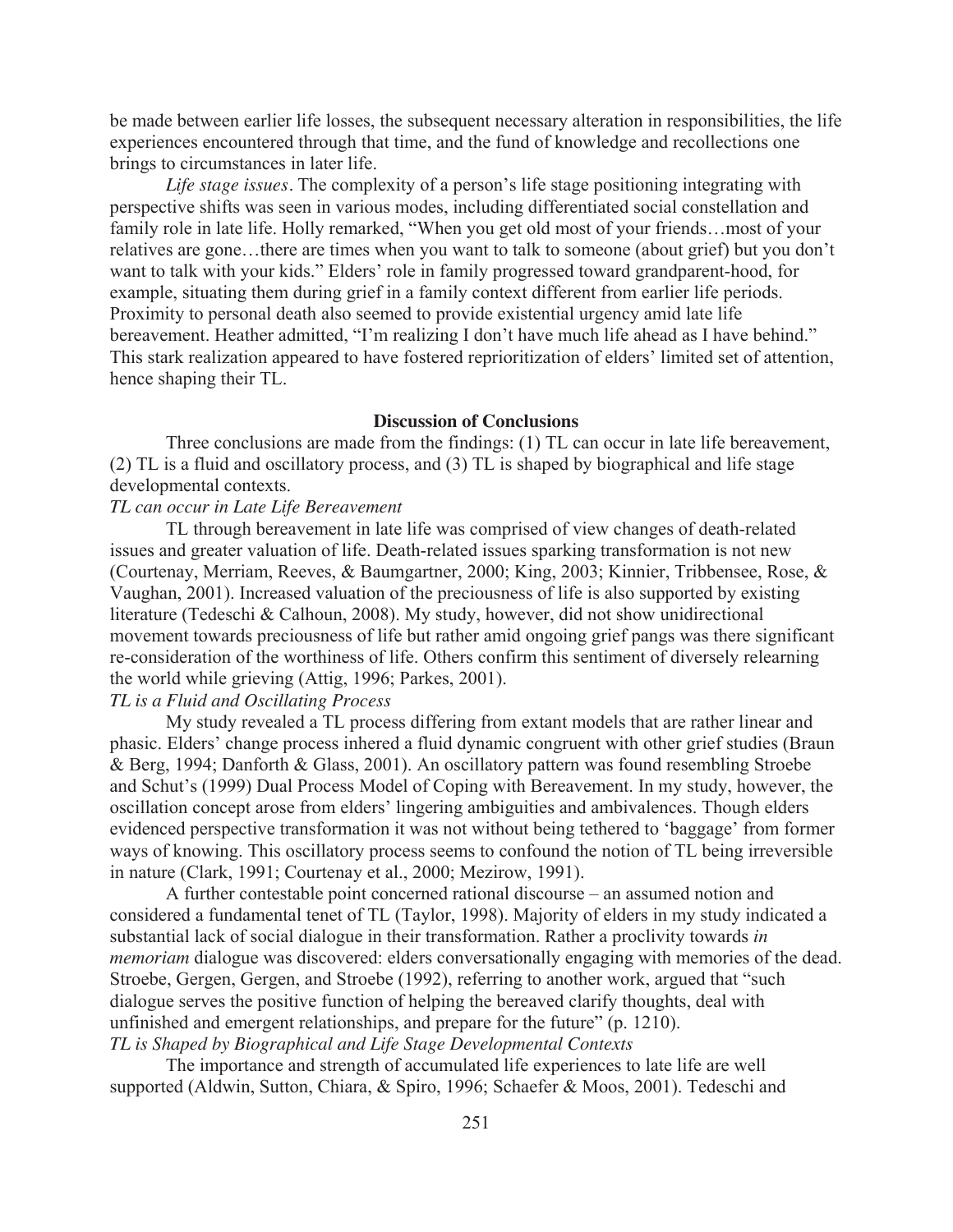be made between earlier life losses, the subsequent necessary alteration in responsibilities, the life experiences encountered through that time, and the fund of knowledge and recollections one brings to circumstances in later life.

*Life stage issues.* The complexity of a person's life stage positioning integrating with perspective shifts was seen in various modes, including differentiated social constellation and family role in late life. Holly remarked, "When you get old most of your friends…most of your relatives are gone…there are times when you want to talk to someone (about grief) but you don't want to talk with your kids." Elders' role in family progressed toward grandparent-hood, for example, situating them during grief in a family context different from earlier life periods. Proximity to personal death also seemed to provide existential urgency amid late life bereavement. Heather admitted, "I'm realizing I don't have much life ahead as I have behind." This stark realization appeared to have fostered reprioritization of elders' limited set of attention, hence shaping their TL.

## **Discussion of Conclusions**

Three conclusions are made from the findings: (1) TL can occur in late life bereavement, (2) TL is a fluid and oscillatory process, and (3) TL is shaped by biographical and life stage developmental contexts.

## *TL can occur in Late Life Bereavement*

TL through bereavement in late life was comprised of view changes of death-related issues and greater valuation of life. Death-related issues sparking transformation is not new (Courtenay, Merriam, Reeves, & Baumgartner, 2000; King, 2003; Kinnier, Tribbensee, Rose, & Vaughan, 2001). Increased valuation of the preciousness of life is also supported by existing literature (Tedeschi & Calhoun, 2008). My study, however, did not show unidirectional movement towards preciousness of life but rather amid ongoing grief pangs was there significant re-consideration of the worthiness of life. Others confirm this sentiment of diversely relearning the world while grieving (Attig, 1996; Parkes, 2001).

## *TL is a Fluid and Oscillating Process*

My study revealed a TL process differing from extant models that are rather linear and phasic. Elders' change process inhered a fluid dynamic congruent with other grief studies (Braun & Berg, 1994; Danforth & Glass, 2001). An oscillatory pattern was found resembling Stroebe and Schut's (1999) Dual Process Model of Coping with Bereavement. In my study, however, the oscillation concept arose from elders' lingering ambiguities and ambivalences. Though elders evidenced perspective transformation it was not without being tethered to 'baggage' from former ways of knowing. This oscillatory process seems to confound the notion of TL being irreversible in nature (Clark, 1991; Courtenay et al., 2000; Mezirow, 1991).

A further contestable point concerned rational discourse – an assumed notion and considered a fundamental tenet of TL (Taylor, 1998). Majority of elders in my study indicated a substantial lack of social dialogue in their transformation. Rather a proclivity towards *in memoriam* dialogue was discovered: elders conversationally engaging with memories of the dead. Stroebe, Gergen, Gergen, and Stroebe (1992), referring to another work, argued that "such dialogue serves the positive function of helping the bereaved clarify thoughts, deal with unfinished and emergent relationships, and prepare for the future" (p. 1210). *TL is Shaped by Biographical and Life Stage Developmental Contexts*

The importance and strength of accumulated life experiences to late life are well supported (Aldwin, Sutton, Chiara, & Spiro, 1996; Schaefer & Moos, 2001). Tedeschi and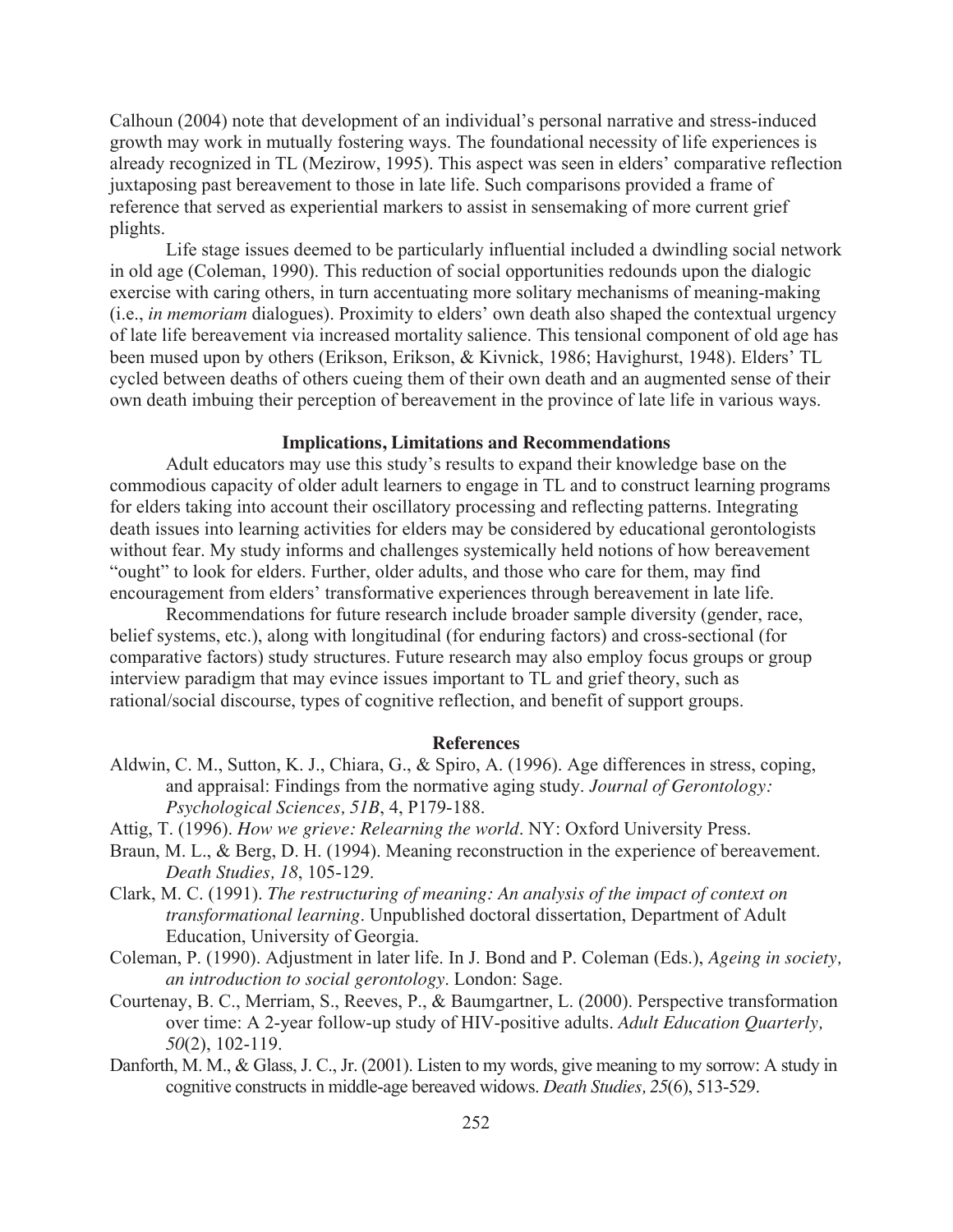Calhoun (2004) note that development of an individual's personal narrative and stress-induced growth may work in mutually fostering ways. The foundational necessity of life experiences is already recognized in TL (Mezirow, 1995). This aspect was seen in elders' comparative reflection juxtaposing past bereavement to those in late life. Such comparisons provided a frame of reference that served as experiential markers to assist in sensemaking of more current grief plights.

Life stage issues deemed to be particularly influential included a dwindling social network in old age (Coleman, 1990). This reduction of social opportunities redounds upon the dialogic exercise with caring others, in turn accentuating more solitary mechanisms of meaning-making (i.e., *in memoriam* dialogues). Proximity to elders' own death also shaped the contextual urgency of late life bereavement via increased mortality salience. This tensional component of old age has been mused upon by others (Erikson, Erikson, & Kivnick, 1986; Havighurst, 1948). Elders' TL cycled between deaths of others cueing them of their own death and an augmented sense of their own death imbuing their perception of bereavement in the province of late life in various ways.

#### **Implications, Limitations and Recommendations**

Adult educators may use this study's results to expand their knowledge base on the commodious capacity of older adult learners to engage in TL and to construct learning programs for elders taking into account their oscillatory processing and reflecting patterns. Integrating death issues into learning activities for elders may be considered by educational gerontologists without fear. My study informs and challenges systemically held notions of how bereavement "ought" to look for elders. Further, older adults, and those who care for them, may find encouragement from elders' transformative experiences through bereavement in late life.

Recommendations for future research include broader sample diversity (gender, race, belief systems, etc.), along with longitudinal (for enduring factors) and cross-sectional (for comparative factors) study structures. Future research may also employ focus groups or group interview paradigm that may evince issues important to TL and grief theory, such as rational/social discourse, types of cognitive reflection, and benefit of support groups.

## **References**

- Aldwin, C. M., Sutton, K. J., Chiara, G., & Spiro, A. (1996). Age differences in stress, coping, and appraisal: Findings from the normative aging study. *Journal of Gerontology: Psychological Sciences, 51B*, 4, P179-188.
- Attig, T. (1996). *How we grieve: Relearning the world*. NY: Oxford University Press.
- Braun, M. L., & Berg, D. H. (1994). Meaning reconstruction in the experience of bereavement. *Death Studies, 18*, 105-129.
- Clark, M. C. (1991). *The restructuring of meaning: An analysis of the impact of context on transformational learning*. Unpublished doctoral dissertation, Department of Adult Education, University of Georgia.
- Coleman, P. (1990). Adjustment in later life. In J. Bond and P. Coleman (Eds.), *Ageing in society, an introduction to social gerontology*. London: Sage.
- Courtenay, B. C., Merriam, S., Reeves, P., & Baumgartner, L. (2000). Perspective transformation over time: A 2-year follow-up study of HIV-positive adults. *Adult Education Quarterly, 50*(2), 102-119.
- Danforth, M. M., & Glass, J. C., Jr. (2001). Listen to my words, give meaning to my sorrow: A study in cognitive constructs in middle-age bereaved widows. *Death Studies, 25*(6), 513-529.